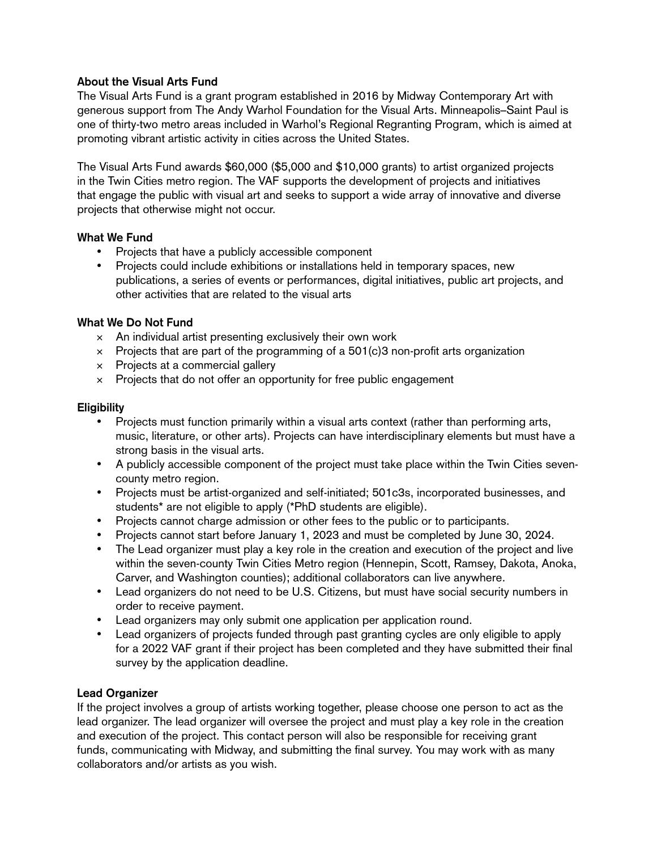# **About the Visual Arts Fund**

The Visual Arts Fund is a grant program established in 2016 by Midway Contemporary Art with generous support from The Andy Warhol Foundation for the Visual Arts. Minneapolis–Saint Paul is one of thirty-two metro areas included in Warhol's Regional Regranting Program, which is aimed at promoting vibrant artistic activity in cities across the United States.

The Visual Arts Fund awards \$60,000 (\$5,000 and \$10,000 grants) to artist organized projects in the Twin Cities metro region. The VAF supports the development of projects and initiatives that engage the public with visual art and seeks to support a wide array of innovative and diverse projects that otherwise might not occur.

# **What We Fund**

- Projects that have a publicly accessible component
- Projects could include exhibitions or installations held in temporary spaces, new publications, a series of events or performances, digital initiatives, public art projects, and other activities that are related to the visual arts

## **What We Do Not Fund**

- $\times$  An individual artist presenting exclusively their own work
- $\times$  Projects that are part of the programming of a 501(c)3 non-profit arts organization
- × Projects at a commercial gallery
- $\times$  Projects that do not offer an opportunity for free public engagement

## **Eligibility**

- Projects must function primarily within a visual arts context (rather than performing arts, music, literature, or other arts). Projects can have interdisciplinary elements but must have a strong basis in the visual arts.
- • A publicly accessible component of the project must take place within the Twin Cities sevencounty metro region.
- Projects must be artist-organized and self-initiated; 501c3s, incorporated businesses, and students\* are not eligible to apply (\*PhD students are eligible).
- Projects cannot charge admission or other fees to the public or to participants.
- Projects cannot start before January 1, 2023 and must be completed by June 30, 2024.
- The Lead organizer must play a key role in the creation and execution of the project and live within the seven-county Twin Cities Metro region (Hennepin, Scott, Ramsey, Dakota, Anoka, Carver, and Washington counties); additional collaborators can live anywhere.
- Lead organizers do not need to be U.S. Citizens, but must have social security numbers in order to receive payment.
- Lead organizers may only submit one application per application round.
- Lead organizers of projects funded through past granting cycles are only eligible to apply for a 2022 VAF grant if their project has been completed and they have submitted their final survey by the application deadline.

# **Lead Organizer**

If the project involves a group of artists working together, please choose one person to act as the lead organizer. The lead organizer will oversee the project and must play a key role in the creation and execution of the project. This contact person will also be responsible for receiving grant funds, communicating with Midway, and submitting the final survey. You may work with as many collaborators and/or artists as you wish.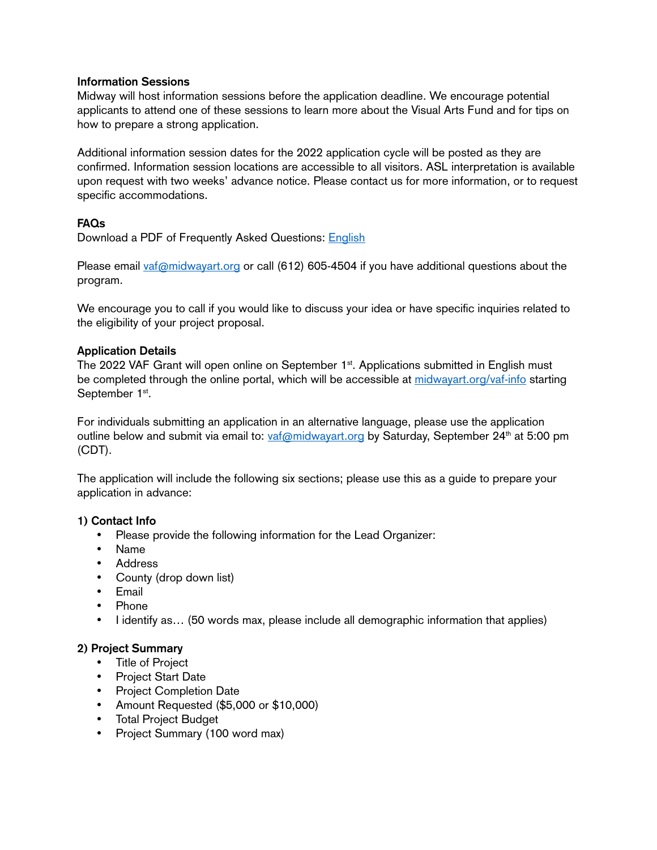#### **Information Sessions**

Midway will host information sessions before the application deadline. We encourage potential applicants to attend one of these sessions to learn more about the Visual Arts Fund and for tips on how to prepare a strong application.

Additional information session dates for the 2022 application cycle will be posted as they are confirmed. Information session locations are accessible to all visitors. ASL interpretation is available upon request with two weeks' advance notice. Please contact us for more information, or to request specific accommodations.

# **FAQs**

Download a PDF of Frequently Asked Questions: [English](https://www.midwayart.org/wp-content/uploads/2022/05/2022_VAF_FAQs.pdf)

Please email [vaf@midwayart.org](mailto:vaf@midwayart.org) or call (612) 605-4504 if you have additional questions about the program.

We encourage you to call if you would like to discuss your idea or have specific inquiries related to the eligibility of your project proposal.

#### **Application Details**

The 2022 VAF Grant will open online on September 1<sup>st</sup>. Applications submitted in English must be completed through the online portal, which will be accessible at [midwayart.org/vaf-info](https://www.midwayart.org/vaf-info/) starting September 1st.

For individuals submitting an application in an alternative language, please use the application outline below and submit via email to:  $vaf@midwayart.org$  by Saturday, September 24<sup>th</sup> at 5:00 pm (CDT).

The application will include the following six sections; please use this as a guide to prepare your application in advance:

#### **1) Contact Info**

- Please provide the following information for the Lead Organizer:
- • Name
- • Address
- County (drop down list)
- • Email
- • Phone
- I identify as... (50 words max, please include all demographic information that applies)

# **2) Project Summary**

- • Title of Project
- • Project Start Date
- • Project Completion Date
- • Amount Requested (\$5,000 or \$10,000)
- • Total Project Budget
- Project Summary (100 word max)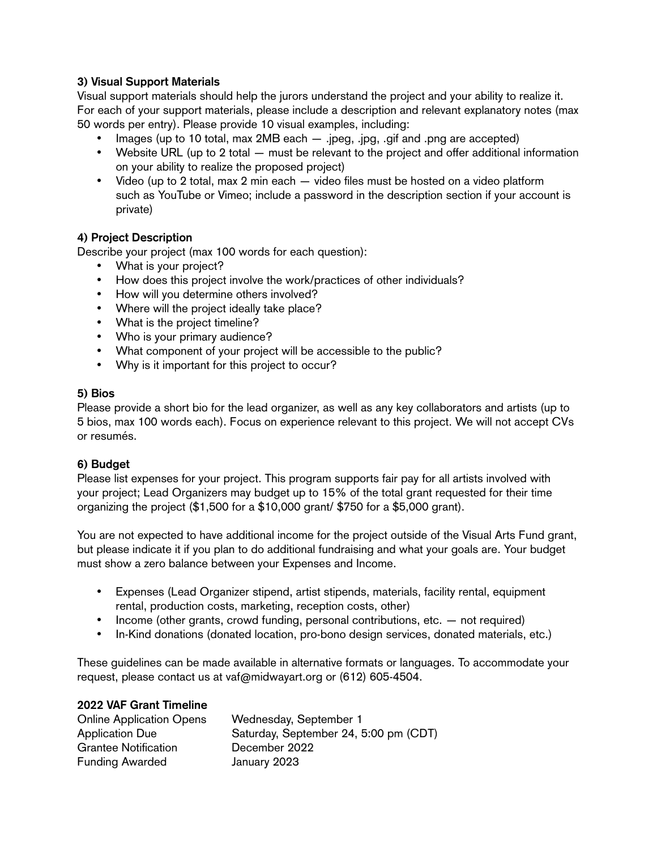# **3) Visual Support Materials**

Visual support materials should help the jurors understand the project and your ability to realize it. For each of your support materials, please include a description and relevant explanatory notes (max 50 words per entry). Please provide 10 visual examples, including:

- Images (up to 10 total, max  $2MB$  each  $-$  .jpeg, .jpg, .gif and .png are accepted)
- Website URL (up to 2 total must be relevant to the project and offer additional information on your ability to realize the proposed project)
- Video (up to 2 total, max 2 min each  $-$  video files must be hosted on a video platform such as YouTube or Vimeo; include a password in the description section if your account is private)

## **4) Project Description**

Describe your project (max 100 words for each question):

- What is your project?
- How does this project involve the work/practices of other individuals?
- How will you determine others involved?
- Where will the project ideally take place?
- What is the project timeline?
- Who is your primary audience?
- What component of your project will be accessible to the public?
- Why is it important for this project to occur?

#### **5) Bios**

Please provide a short bio for the lead organizer, as well as any key collaborators and artists (up to 5 bios, max 100 words each). Focus on experience relevant to this project. We will not accept CVs or resumés.

# **6) Budget**

Please list expenses for your project. This program supports fair pay for all artists involved with your project; Lead Organizers may budget up to 15% of the total grant requested for their time organizing the project (\$1,500 for a \$10,000 grant/ \$750 for a \$5,000 grant).

You are not expected to have additional income for the project outside of the Visual Arts Fund grant, but please indicate it if you plan to do additional fundraising and what your goals are. Your budget must show a zero balance between your Expenses and Income.

- Expenses (Lead Organizer stipend, artist stipends, materials, facility rental, equipment rental, production costs, marketing, reception costs, other)
- Income (other grants, crowd funding, personal contributions, etc. not required)
- In-Kind donations (donated location, pro-bono design services, donated materials, etc.)

These guidelines can be made available in alternative formats or languages. To accommodate your request, please contact us at vaf@midwayart.org or (612) 605-4504.

#### **2022 VAF Grant Timeline**

| <b>Online Application Opens</b> | Wednesday, September 1                |
|---------------------------------|---------------------------------------|
| <b>Application Due</b>          | Saturday, September 24, 5:00 pm (CDT) |
| <b>Grantee Notification</b>     | December 2022                         |
| <b>Funding Awarded</b>          | January 2023                          |